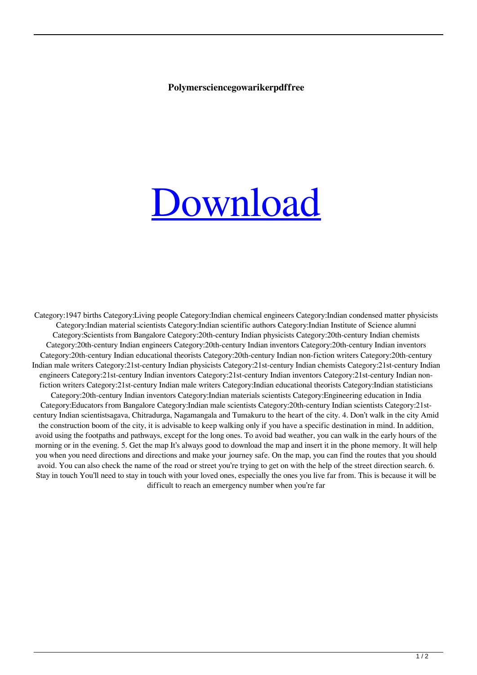## **Polymersciencegowarikerpdffree**

## [Download](http://evacdir.com/tranny.feadship/bureaucrats/cG9seW1lcnNjaWVuY2Vnb3dhcmlrZXJwZGZmcmVlMTEcG9/fieve/vivian.ZG93bmxvYWR8cXQ4WjJOdmEzeDhNVFkxTlRnME1qazRNWHg4TWpVNU1IeDhLRTBwSUZkdmNtUndjbVZ6Y3lCYldFMU1VbEJESUZZeUlGQkVSbDA)

Category:1947 births Category:Living people Category:Indian chemical engineers Category:Indian condensed matter physicists Category:Indian material scientists Category:Indian scientific authors Category:Indian Institute of Science alumni Category:Scientists from Bangalore Category:20th-century Indian physicists Category:20th-century Indian chemists Category:20th-century Indian engineers Category:20th-century Indian inventors Category:20th-century Indian inventors Category:20th-century Indian educational theorists Category:20th-century Indian non-fiction writers Category:20th-century Indian male writers Category:21st-century Indian physicists Category:21st-century Indian chemists Category:21st-century Indian engineers Category:21st-century Indian inventors Category:21st-century Indian inventors Category:21st-century Indian nonfiction writers Category:21st-century Indian male writers Category:Indian educational theorists Category:Indian statisticians Category:20th-century Indian inventors Category:Indian materials scientists Category:Engineering education in India Category:Educators from Bangalore Category:Indian male scientists Category:20th-century Indian scientists Category:21stcentury Indian scientistsagava, Chitradurga, Nagamangala and Tumakuru to the heart of the city. 4. Don't walk in the city Amid the construction boom of the city, it is advisable to keep walking only if you have a specific destination in mind. In addition, avoid using the footpaths and pathways, except for the long ones. To avoid bad weather, you can walk in the early hours of the morning or in the evening. 5. Get the map It's always good to download the map and insert it in the phone memory. It will help you when you need directions and directions and make your journey safe. On the map, you can find the routes that you should avoid. You can also check the name of the road or street you're trying to get on with the help of the street direction search. 6. Stay in touch You'll need to stay in touch with your loved ones, especially the ones you live far from. This is because it will be difficult to reach an emergency number when you're far